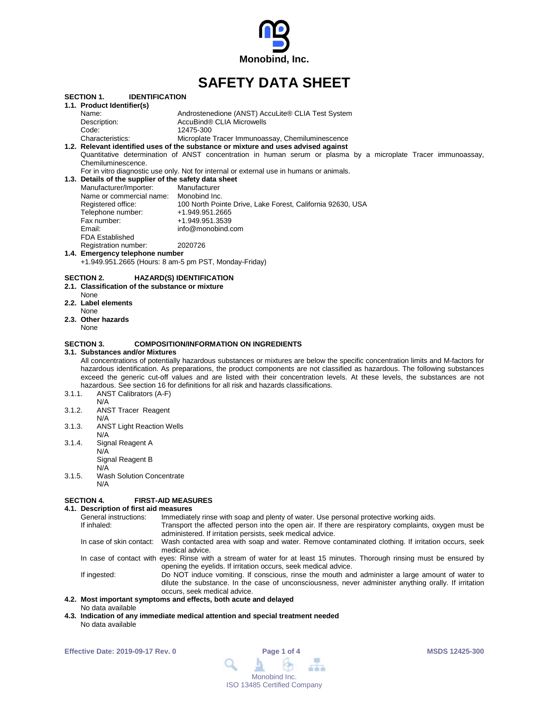

# **SAFETY DATA SHEET**

|        | <b>SECTION 1.</b><br><b>IDENTIFICATION</b>            |                                                                                                                                  |
|--------|-------------------------------------------------------|----------------------------------------------------------------------------------------------------------------------------------|
|        | 1.1. Product Identifier(s)                            |                                                                                                                                  |
|        | Name:                                                 | Androstenedione (ANST) AccuLite® CLIA Test System                                                                                |
|        | Description:                                          | AccuBind® CLIA Microwells                                                                                                        |
|        | Code:                                                 | 12475-300                                                                                                                        |
|        | Characteristics:                                      | Microplate Tracer Immunoassay, Chemiluminescence                                                                                 |
|        |                                                       | 1.2. Relevant identified uses of the substance or mixture and uses advised against                                               |
|        | Chemiluminescence.                                    | Quantitative determination of ANST concentration in human serum or plasma by a microplate Tracer immunoassay,                    |
|        |                                                       |                                                                                                                                  |
|        | 1.3. Details of the supplier of the safety data sheet | For in vitro diagnostic use only. Not for internal or external use in humans or animals.                                         |
|        |                                                       |                                                                                                                                  |
|        | Manufacturer/Importer:                                | Manufacturer                                                                                                                     |
|        | Name or commercial name: Monobind Inc.                |                                                                                                                                  |
|        | Registered office:                                    | 100 North Pointe Drive, Lake Forest, California 92630, USA                                                                       |
|        | Telephone number:                                     | +1.949.951.2665                                                                                                                  |
|        | Fax number:                                           | +1.949.951.3539                                                                                                                  |
|        | Email:                                                | info@monobind.com                                                                                                                |
|        | <b>FDA Established</b>                                |                                                                                                                                  |
|        | Registration number:                                  | 2020726                                                                                                                          |
|        | 1.4. Emergency telephone number                       |                                                                                                                                  |
|        | +1.949.951.2665 (Hours: 8 am-5 pm PST, Monday-Friday) |                                                                                                                                  |
|        |                                                       |                                                                                                                                  |
|        | <b>SECTION 2.</b>                                     | <b>HAZARD(S) IDENTIFICATION</b>                                                                                                  |
|        | 2.1. Classification of the substance or mixture       |                                                                                                                                  |
|        | None                                                  |                                                                                                                                  |
|        | 2.2. Label elements                                   |                                                                                                                                  |
|        | None                                                  |                                                                                                                                  |
|        | 2.3. Other hazards                                    |                                                                                                                                  |
|        | None                                                  |                                                                                                                                  |
|        |                                                       |                                                                                                                                  |
|        | <b>SECTION 3.</b>                                     | <b>COMPOSITION/INFORMATION ON INGREDIENTS</b>                                                                                    |
|        | 3.1. Substances and/or Mixtures                       |                                                                                                                                  |
|        |                                                       | All concentrations of potentially hazardous substances or mixtures are below the specific concentration limits and M-factors for |
|        |                                                       | hazardous identification. As preparations, the product components are not classified as hazardous. The following substances      |
|        |                                                       | exceed the generic cut-off values and are listed with their concentration levels. At these levels, the substances are not        |
|        |                                                       | hazardous. See section 16 for definitions for all risk and hazards classifications.                                              |
| 3.1.1. | ANST Calibrators (A-F)                                |                                                                                                                                  |
|        | N/A                                                   |                                                                                                                                  |
| 3.1.2. | <b>ANST Tracer Reagent</b>                            |                                                                                                                                  |
|        | N/A                                                   |                                                                                                                                  |
| 3.1.3. | <b>ANST Light Reaction Wells</b>                      |                                                                                                                                  |
|        | N/A                                                   |                                                                                                                                  |
| 3.1.4. | Signal Reagent A                                      |                                                                                                                                  |
|        | N/A                                                   |                                                                                                                                  |
|        | Signal Reagent B                                      |                                                                                                                                  |
|        | N/A                                                   |                                                                                                                                  |

3.1.5. Wash Solution Concentrate

N/A

#### **SECTION 4. FIRST-AID MEASURES**

**4.1. Description of first aid measures** General instructions: Immediately rinse with soap and plenty of water. Use personal protective working aids.<br>If inhaled: If inhaled: Transport the affected person into the open air. If there are respiratory complaints, o Transport the affected person into the open air. If there are respiratory complaints, oxygen must be administered. If irritation persists, seek medical advice. In case of skin contact: Wash contacted area with soap and water. Remove contaminated clothing. If irritation occurs, seek medical advice. In case of contact with eyes: Rinse with a stream of water for at least 15 minutes. Thorough rinsing must be ensured by opening the eyelids. If irritation occurs, seek medical advice. If ingested: Do NOT induce vomiting. If conscious, rinse the mouth and administer a large amount of water to dilute the substance. In the case of unconsciousness, never administer anything orally. If irritation occurs, seek medical advice.

#### **4.2. Most important symptoms and effects, both acute and delayed** No data available

**4.3. Indication of any immediate medical attention and special treatment needed** No data available

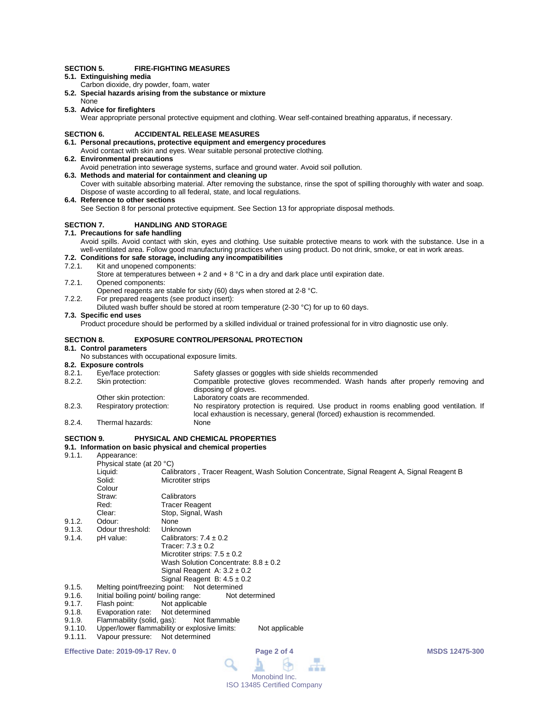#### **SECTION 5. FIRE-FIGHTING MEASURES**

- **5.1. Extinguishing media**
- Carbon dioxide, dry powder, foam, water
- **5.2. Special hazards arising from the substance or mixture**
- None **5.3. Advice for firefighters**

Wear appropriate personal protective equipment and clothing. Wear self-contained breathing apparatus, if necessary.

#### **SECTION 6. ACCIDENTAL RELEASE MEASURES**

# **6.1. Personal precautions, protective equipment and emergency procedures**

- Avoid contact with skin and eyes. Wear suitable personal protective clothing.
- **6.2. Environmental precautions**
	- Avoid penetration into sewerage systems, surface and ground water. Avoid soil pollution.
- **6.3. Methods and material for containment and cleaning up** Cover with suitable absorbing material. After removing the substance, rinse the spot of spilling thoroughly with water and soap. Dispose of waste according to all federal, state, and local regulations.
- **6.4. Reference to other sections**

See Section 8 for personal protective equipment. See Section 13 for appropriate disposal methods.

#### **SECTION 7. HANDLING AND STORAGE**

#### **7.1. Precautions for safe handling**

Avoid spills. Avoid contact with skin, eyes and clothing. Use suitable protective means to work with the substance. Use in a well-ventilated area. Follow good manufacturing practices when using product. Do not drink, smoke, or eat in work areas.

# **7.2. Conditions for safe storage, including any incompatibilities**

7.2.1. Kit and unopened components:

Store at temperatures between  $+ 2$  and  $+ 8$  °C in a dry and dark place until expiration date.

- 7.2.1. Opened components:
	- Opened reagents are stable for sixty (60) days when stored at 2-8 °C.
- 7.2.2. For prepared reagents (see product insert):
	- Diluted wash buffer should be stored at room temperature (2-30 °C) for up to 60 days.

#### **7.3. Specific end uses**

Product procedure should be performed by a skilled individual or trained professional for in vitro diagnostic use only.

#### **SECTION 8. EXPOSURE CONTROL/PERSONAL PROTECTION**

#### **8.1. Control parameters**

No substances with occupational exposure limits.

# **8.2. Exposure controls**

- 8.2.1. Eye/face protection: Safety glasses or goggles with side shields recommended<br>8.2.2. Skin protection: Compatible protective gloves recommended. Wash han
- Compatible protective gloves recommended. Wash hands after properly removing and disposing of gloves. Other skin protection: Laboratory coats are recommended.
- 8.2.3. Respiratory protection: No respiratory protection is required. Use product in rooms enabling good ventilation. If local exhaustion is necessary, general (forced) exhaustion is recommended.
- 8.2.4. Thermal hazards:

### **SECTION 9. PHYSICAL AND CHEMICAL PROPERTIES**

#### **9.1. Information on basic physical and chemical properties**

9.1.1. Appearance:

|                                                        | Physical state (at 20 °C)                               |                                                                                            |  |  |  |
|--------------------------------------------------------|---------------------------------------------------------|--------------------------------------------------------------------------------------------|--|--|--|
|                                                        | Liquid:                                                 | Calibrators, Tracer Reagent, Wash Solution Concentrate, Signal Reagent A, Signal Reagent B |  |  |  |
|                                                        | Solid:                                                  | Microtiter strips                                                                          |  |  |  |
|                                                        | Colour                                                  |                                                                                            |  |  |  |
|                                                        | Straw:                                                  | Calibrators                                                                                |  |  |  |
|                                                        | Red:                                                    | <b>Tracer Reagent</b>                                                                      |  |  |  |
|                                                        | Clear:                                                  | Stop, Signal, Wash                                                                         |  |  |  |
| 9.1.2.                                                 | Odour:                                                  | None                                                                                       |  |  |  |
| 9.1.3.                                                 | Odour threshold:                                        | Unknown                                                                                    |  |  |  |
| 9.1.4.                                                 | pH value:                                               | Calibrators: $7.4 \pm 0.2$                                                                 |  |  |  |
|                                                        |                                                         | Tracer: $7.3 \pm 0.2$                                                                      |  |  |  |
|                                                        |                                                         | Microtiter strips: $7.5 \pm 0.2$                                                           |  |  |  |
|                                                        |                                                         | Wash Solution Concentrate: $8.8 \pm 0.2$                                                   |  |  |  |
|                                                        |                                                         | Signal Reagent A: $3.2 \pm 0.2$                                                            |  |  |  |
|                                                        |                                                         | Signal Reagent B: $4.5 \pm 0.2$                                                            |  |  |  |
| Melting point/freezing point: Not determined<br>9.1.5. |                                                         |                                                                                            |  |  |  |
| 9.1.6.                                                 | Initial boiling point/ boiling range:<br>Not determined |                                                                                            |  |  |  |
| 9.1.7.                                                 | Flash point:                                            | Not applicable                                                                             |  |  |  |
| 9.1.8.                                                 | Evaporation rate:                                       | Not determined                                                                             |  |  |  |
| 9.1.9.                                                 | Flammability (solid, gas):                              | Not flammable                                                                              |  |  |  |
| 9.1.10.                                                |                                                         | Upper/lower flammability or explosive limits:<br>Not applicable                            |  |  |  |
| 9.1.11.                                                | Vapour pressure:                                        | Not determined                                                                             |  |  |  |
|                                                        |                                                         |                                                                                            |  |  |  |

#### **Effective Date: 2019-09-17 Rev. 0 Page 2 of 4 MSDS 12475-300**

 $\blacksquare$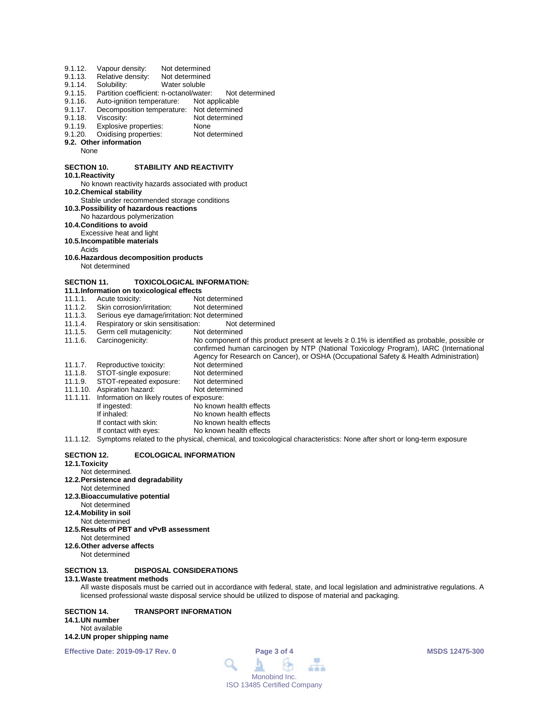| 9.1.12.<br>9.1.13.<br>9.1.14.<br>9.1.15.<br>9.1.16.<br>9.1.17.<br>9.1.18.<br>9.1.19.<br>9.1.20.<br>None | Vapour density:<br>Relative density:<br>Solubility:<br>Partition coefficient: n-octanol/water:<br>Auto-ignition temperature:<br>Decomposition temperature: Not determined<br>Viscosity:<br>Explosive properties:<br>Oxidising properties:<br>9.2. Other information | Not determined<br>Not determined<br>Water soluble<br>Not determined<br>Not applicable<br>Not determined<br>None<br>Not determined |
|---------------------------------------------------------------------------------------------------------|---------------------------------------------------------------------------------------------------------------------------------------------------------------------------------------------------------------------------------------------------------------------|-----------------------------------------------------------------------------------------------------------------------------------|
| <b>SECTION 10.</b>                                                                                      |                                                                                                                                                                                                                                                                     | <b>STABILITY AND REACTIVITY</b>                                                                                                   |
| 10.1. Reactivity                                                                                        |                                                                                                                                                                                                                                                                     |                                                                                                                                   |
|                                                                                                         |                                                                                                                                                                                                                                                                     | No known reactivity hazards associated with product                                                                               |
|                                                                                                         | 10.2. Chemical stability<br>Stable under recommended storage conditions                                                                                                                                                                                             |                                                                                                                                   |
|                                                                                                         | 10.3. Possibility of hazardous reactions                                                                                                                                                                                                                            |                                                                                                                                   |
|                                                                                                         | No hazardous polymerization                                                                                                                                                                                                                                         |                                                                                                                                   |
|                                                                                                         | 10.4. Conditions to avoid                                                                                                                                                                                                                                           |                                                                                                                                   |
|                                                                                                         | Excessive heat and light                                                                                                                                                                                                                                            |                                                                                                                                   |
|                                                                                                         | 10.5. Incompatible materials                                                                                                                                                                                                                                        |                                                                                                                                   |
| Acids                                                                                                   |                                                                                                                                                                                                                                                                     |                                                                                                                                   |
|                                                                                                         | 10.6. Hazardous decomposition products                                                                                                                                                                                                                              |                                                                                                                                   |
|                                                                                                         | Not determined                                                                                                                                                                                                                                                      |                                                                                                                                   |
| <b>SECTION 11.</b>                                                                                      |                                                                                                                                                                                                                                                                     | <b>TOXICOLOGICAL INFORMATION:</b>                                                                                                 |
|                                                                                                         | 11.1. Information on toxicological effects                                                                                                                                                                                                                          |                                                                                                                                   |
| 11.1.1.                                                                                                 | Acute toxicity:                                                                                                                                                                                                                                                     | Not determined                                                                                                                    |
| 11.1.2.                                                                                                 | Skin corrosion/irritation:                                                                                                                                                                                                                                          | Not determined                                                                                                                    |
| 11.1.3.                                                                                                 | Serious eye damage/irritation: Not determined                                                                                                                                                                                                                       |                                                                                                                                   |
| 11.1.4.                                                                                                 | Respiratory or skin sensitisation:                                                                                                                                                                                                                                  | Not determined                                                                                                                    |
| 11.1.5.                                                                                                 | Germ cell mutagenicity:                                                                                                                                                                                                                                             | Not determined                                                                                                                    |
| 11.1.6.                                                                                                 | Carcinogenicity:                                                                                                                                                                                                                                                    | No component of this product present at levels $\geq 0.1\%$ is identified as probable, possible or                                |
|                                                                                                         |                                                                                                                                                                                                                                                                     | confirmed human carcinogen by NTP (National Toxicology Program), IARC (International                                              |
|                                                                                                         | Reproductive toxicity:                                                                                                                                                                                                                                              | Agency for Research on Cancer), or OSHA (Occupational Safety & Health Administration)<br>Not determined                           |
| 11.1.7.<br>11.1.8.                                                                                      | STOT-single exposure:                                                                                                                                                                                                                                               | Not determined                                                                                                                    |
| 11.1.9.                                                                                                 | STOT-repeated exposure:                                                                                                                                                                                                                                             | Not determined                                                                                                                    |
|                                                                                                         | 11.1.10. Aspiration hazard:                                                                                                                                                                                                                                         | Not determined                                                                                                                    |
| 11.1.11.                                                                                                | Information on likely routes of exposure:                                                                                                                                                                                                                           |                                                                                                                                   |
|                                                                                                         | If ingested:                                                                                                                                                                                                                                                        | No known health effects                                                                                                           |
|                                                                                                         | If inhaled:                                                                                                                                                                                                                                                         | No known health effects                                                                                                           |
|                                                                                                         | If contact with skin:                                                                                                                                                                                                                                               | No known health effects                                                                                                           |
|                                                                                                         | If contact with eyes:                                                                                                                                                                                                                                               | No known health effects                                                                                                           |
|                                                                                                         |                                                                                                                                                                                                                                                                     | 11.1.12. Symptoms related to the physical, chemical, and toxicological characteristics: None after short or long-term exposure    |
| <b>SECTION 12.</b><br>$40.4$ Tavialist                                                                  |                                                                                                                                                                                                                                                                     | <b>ECOLOGICAL INFORMATION</b>                                                                                                     |

#### **12.1.Toxicity**

# Not determined.

#### **12.2.Persistence and degradability** Not determined

# **12.3.Bioaccumulative potential**

- Not determined
- **12.4.Mobility in soil**
- Not determined
- **12.5.Results of PBT and vPvB assessment** Not determined
- **12.6.Other adverse affects**
- Not determined

# **SECTION 13. DISPOSAL CONSIDERATIONS**

#### **13.1.Waste treatment methods**

All waste disposals must be carried out in accordance with federal, state, and local legislation and administrative regulations. A licensed professional waste disposal service should be utilized to dispose of material and packaging.

#### **SECTION 14. TRANSPORT INFORMATION 14.1.UN number** Not available **14.2.UN proper shipping name**

**Effective Date: 2019-09-17 Rev. 0 Page 3 of 4 MSDS 12475-300**

|                             | Page 3 of 4   |  |
|-----------------------------|---------------|--|
|                             |               |  |
|                             | Monobind Inc. |  |
| ISO 13485 Certified Company |               |  |